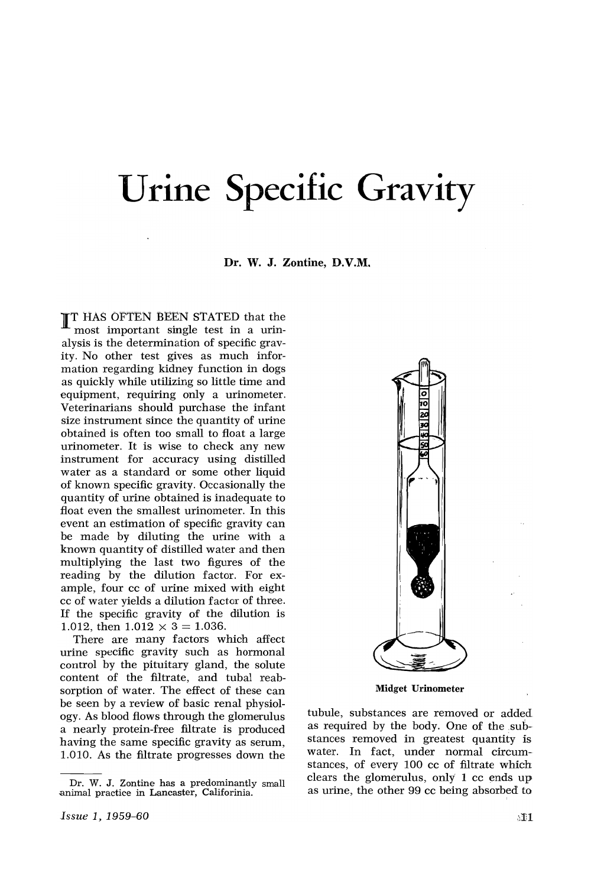## Urine Specific Gravity

## Dr. W. J. Zontine, D.V.M.

**IT HAS OFTEN BEEN STATED that the** most important single test in a urinalysis is the determination of specific gravity. No other test gives as much information regarding kidney function in dogs as quickly while utilizing so little time and equipment, requiring only a urinometer. Veterinarians should purchase the infant size instrument since the quantity of urine obtained is often too small to float a large urinometer. It is wise to check any new instrument for accuracy using distilled water as a standard or some other liquid of known specific gravity. Occasionally the quantity of urine obtained is inadequate to float even the smallest urinometer. In this event an estimation of specific gravity can be made by diluting the urine with a known quantity of distilled water and then multiplying the last two figures of the reading by the dilution factor. For example, four cc of urine mixed with eight cc of water yields a dilution factor of three. If the specific gravity of the dilution is 1.012, then  $1.012 \times 3 = 1.036$ .

There are many factors which affect urine specific gravity such as hormonal control by the pituitary gland, the solute content of the filtrate, and tubal reabsorption of water. The effect of these can be seen by a review of basic renal physiology. As blood flows through the glomerulus a nearly protein-free filtrate is produced having the same specific gravity as serum, 1.010. As the filtrate progresses down the



Midget Urinometer

tubule, substances are removed or added as required by the body. One of the substances removed in greatest quantity is water. In fact, under normal circumstances, of every 100 cc of filtrate which clears the glomerulus, only  $1$  cc ends up as urine, the other 99 cc being absorbed to

Dr. W. J. Zontine has a predominantly small .animal practice in Lancaster, Califorinia.